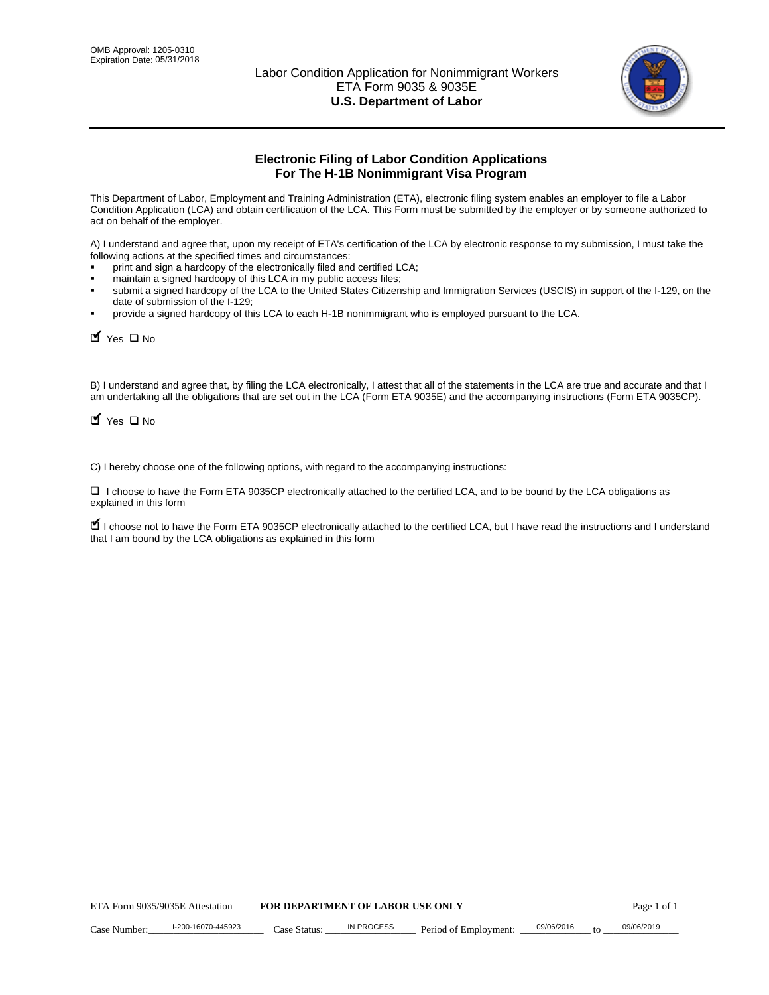

# **Electronic Filing of Labor Condition Applications For The H-1B Nonimmigrant Visa Program**

This Department of Labor, Employment and Training Administration (ETA), electronic filing system enables an employer to file a Labor Condition Application (LCA) and obtain certification of the LCA. This Form must be submitted by the employer or by someone authorized to act on behalf of the employer.

A) I understand and agree that, upon my receipt of ETA's certification of the LCA by electronic response to my submission, I must take the following actions at the specified times and circumstances:

- print and sign a hardcopy of the electronically filed and certified LCA;
- maintain a signed hardcopy of this LCA in my public access files;
- submit a signed hardcopy of the LCA to the United States Citizenship and Immigration Services (USCIS) in support of the I-129, on the date of submission of the I-129;
- provide a signed hardcopy of this LCA to each H-1B nonimmigrant who is employed pursuant to the LCA.

| Yes O No                                                                                                                                                                                                                                                                                                              |                                  |                   |                       |            |                  |
|-----------------------------------------------------------------------------------------------------------------------------------------------------------------------------------------------------------------------------------------------------------------------------------------------------------------------|----------------------------------|-------------------|-----------------------|------------|------------------|
| B) I understand and agree that, by filing the LCA electronically, I attest that all of the statements in the LCA are true and accurate and th<br>am undertaking all the obligations that are set out in the LCA (Form ETA 9035E) and the accompanying instructions (Form ETA 9035C<br>$\blacksquare$ Yes $\square$ No |                                  |                   |                       |            |                  |
| C) I hereby choose one of the following options, with regard to the accompanying instructions:                                                                                                                                                                                                                        |                                  |                   |                       |            |                  |
| □ I choose to have the Form ETA 9035CP electronically attached to the certified LCA, and to be bound by the LCA obligations as<br>explained in this form                                                                                                                                                              |                                  |                   |                       |            |                  |
| I choose not to have the Form ETA 9035CP electronically attached to the certified LCA, but I have read the instructions and I unders<br>that I am bound by the LCA obligations as explained in this form                                                                                                              |                                  |                   |                       |            |                  |
|                                                                                                                                                                                                                                                                                                                       |                                  |                   |                       |            |                  |
|                                                                                                                                                                                                                                                                                                                       |                                  |                   |                       |            |                  |
|                                                                                                                                                                                                                                                                                                                       |                                  |                   |                       |            |                  |
|                                                                                                                                                                                                                                                                                                                       |                                  |                   |                       |            |                  |
|                                                                                                                                                                                                                                                                                                                       |                                  |                   |                       |            |                  |
|                                                                                                                                                                                                                                                                                                                       |                                  |                   |                       |            |                  |
|                                                                                                                                                                                                                                                                                                                       |                                  |                   |                       |            |                  |
|                                                                                                                                                                                                                                                                                                                       |                                  |                   |                       |            |                  |
|                                                                                                                                                                                                                                                                                                                       |                                  |                   |                       |            |                  |
|                                                                                                                                                                                                                                                                                                                       |                                  |                   |                       |            |                  |
| ETA Form 9035/9035E Attestation                                                                                                                                                                                                                                                                                       | FOR DEPARTMENT OF LABOR USE ONLY |                   |                       |            | Page 1 of 1      |
| I-200-16070-445923<br>Case Number:                                                                                                                                                                                                                                                                                    | Case Status:                     | <b>IN PROCESS</b> | Period of Employment: | 09/06/2016 | 09/06/2019<br>to |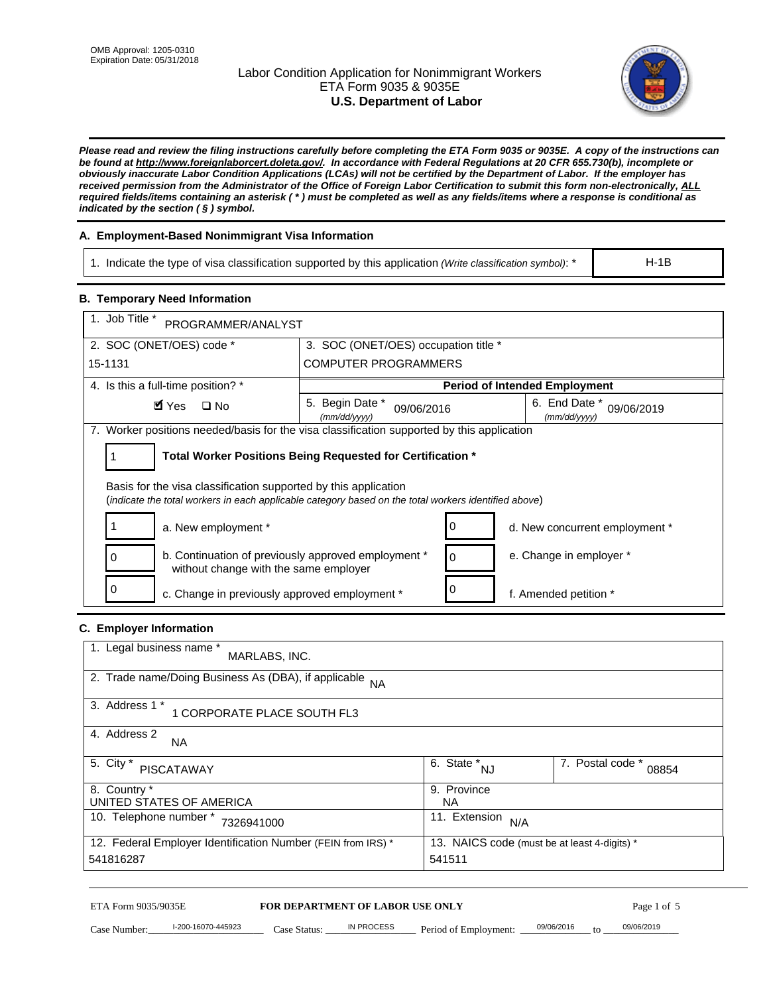# Labor Condition Application for Nonimmigrant Workers ETA Form 9035 & 9035E **U.S. Department of Labor**



*Please read and review the filing instructions carefully before completing the ETA Form 9035 or 9035E. A copy of the instructions can be found at http://www.foreignlaborcert.doleta.gov/. In accordance with Federal Regulations at 20 CFR 655.730(b), incomplete or obviously inaccurate Labor Condition Applications (LCAs) will not be certified by the Department of Labor. If the employer has received permission from the Administrator of the Office of Foreign Labor Certification to submit this form non-electronically, ALL required fields/items containing an asterisk ( \* ) must be completed as well as any fields/items where a response is conditional as indicated by the section ( § ) symbol.* 

# **A. Employment-Based Nonimmigrant Visa Information**

1. Indicate the type of visa classification supported by this application *(Write classification symbol)*: \*

# **B. Temporary Need Information**

| <b>B. Temporary Need Information</b><br>1. Job Title *                                                                                                                  |                                                            |                                              |
|-------------------------------------------------------------------------------------------------------------------------------------------------------------------------|------------------------------------------------------------|----------------------------------------------|
| PROGRAMMER/ANALYST                                                                                                                                                      |                                                            |                                              |
| 2. SOC (ONET/OES) code *                                                                                                                                                | 3. SOC (ONET/OES) occupation title *                       |                                              |
| 15-1131                                                                                                                                                                 | <b>COMPUTER PROGRAMMERS</b>                                |                                              |
| 4. Is this a full-time position? *                                                                                                                                      |                                                            | <b>Period of Intended Employment</b>         |
| $\blacksquare$ Yes<br>$\square$ No                                                                                                                                      | 5. Begin Date *<br>09/06/2016<br>(mm/dd/yyyy)              | 6. End Date *<br>09/06/2019<br>(mm/dd/yyyy)  |
| 7. Worker positions needed/basis for the visa classification supported by this application                                                                              |                                                            |                                              |
| 1                                                                                                                                                                       | Total Worker Positions Being Requested for Certification * |                                              |
|                                                                                                                                                                         |                                                            |                                              |
| Basis for the visa classification supported by this application<br>(indicate the total workers in each applicable category based on the total workers identified above) |                                                            |                                              |
|                                                                                                                                                                         |                                                            |                                              |
| 1<br>a. New employment *                                                                                                                                                | 0                                                          | d. New concurrent employment *               |
| b. Continuation of previously approved employment *<br>0<br>without change with the same employer                                                                       | 0                                                          | e. Change in employer *                      |
| 0<br>c. Change in previously approved employment *                                                                                                                      | 0                                                          | f. Amended petition *                        |
| C. Employer Information                                                                                                                                                 |                                                            |                                              |
| 1. Legal business name *                                                                                                                                                |                                                            |                                              |
| MARLABS, INC.                                                                                                                                                           |                                                            |                                              |
| 2. Trade name/Doing Business As (DBA), if applicable                                                                                                                    | <b>NA</b>                                                  |                                              |
| 3. Address 1 *                                                                                                                                                          |                                                            |                                              |
| 1 CORPORATE PLACE SOUTH FL3                                                                                                                                             |                                                            |                                              |
| 4. Address 2<br>NA.                                                                                                                                                     |                                                            |                                              |
| 5. City *                                                                                                                                                               | $\overline{6. \text{ State}}^*_{NJ}$                       | 7. Postal code *                             |
| <b>PISCATAWAY</b>                                                                                                                                                       |                                                            | 08854                                        |
| 8. Country *<br>UNITED STATES OF AMERICA                                                                                                                                | 9. Province<br><b>NA</b>                                   |                                              |
| 10. Telephone number * 7326941000                                                                                                                                       |                                                            | 11. Extension $N/A$                          |
|                                                                                                                                                                         |                                                            |                                              |
| 12. Federal Employer Identification Number (FEIN from IRS) *<br>541816287                                                                                               | 541511                                                     | 13. NAICS code (must be at least 4-digits) * |
|                                                                                                                                                                         |                                                            |                                              |

#### **C. Employer Information**

| 1. Legal business name *<br>MARLABS, INC.                    |                                              |                           |
|--------------------------------------------------------------|----------------------------------------------|---------------------------|
| 2. Trade name/Doing Business As (DBA), if applicable NA      |                                              |                           |
| 3. Address 1 *<br>1 CORPORATE PLACE SOUTH FL3                |                                              |                           |
| 4. Address 2<br><b>NA</b>                                    |                                              |                           |
| 5. City *<br><b>PISCATAWAY</b>                               | 6. State * <sub>NJ</sub>                     | 7. Postal code *<br>08854 |
| 8. Country *                                                 | 9. Province                                  |                           |
| UNITED STATES OF AMERICA                                     | NА                                           |                           |
| 10. Telephone number *<br>7326941000                         | 11. Extension<br>N/A                         |                           |
| 12. Federal Employer Identification Number (FEIN from IRS) * | 13. NAICS code (must be at least 4-digits) * |                           |
| 541816287                                                    | 541511                                       |                           |

# ETA Form 9035/9035E **FOR DEPARTMENT OF LABOR USE ONLY** Page 1 of 5<br>Case Number: 1-200-16070-445923 Case Status: IN PROCESS Period of Employment: 09/06/2016 to 09/06/2019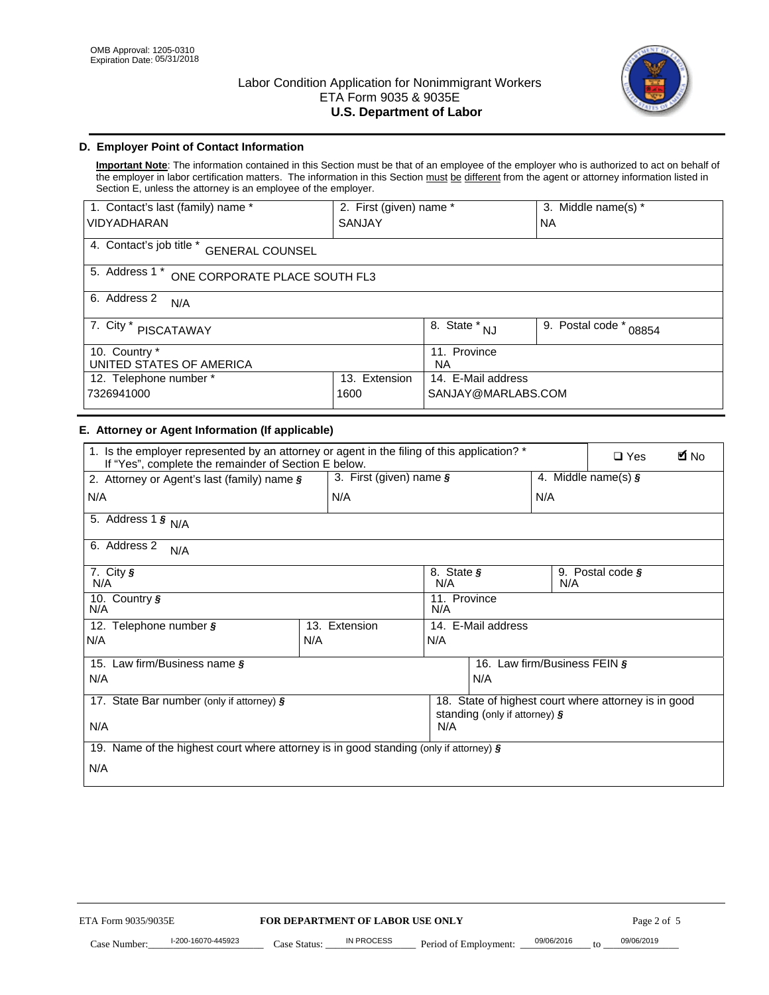

# **D. Employer Point of Contact Information**

**Important Note**: The information contained in this Section must be that of an employee of the employer who is authorized to act on behalf of the employer in labor certification matters. The information in this Section must be different from the agent or attorney information listed in Section E, unless the attorney is an employee of the employer.

| 1. Contact's last (family) name *                  | 2. First (given) name * |                                | 3. Middle name(s) *       |  |
|----------------------------------------------------|-------------------------|--------------------------------|---------------------------|--|
| <b>VIDYADHARAN</b>                                 | <b>SANJAY</b>           |                                | <b>NA</b>                 |  |
| 4. Contact's job title *<br><b>GENERAL COUNSEL</b> |                         |                                |                           |  |
| 5. Address 1 *<br>ONE CORPORATE PLACE SOUTH FL3    |                         |                                |                           |  |
| 6. Address 2<br>N/A                                |                         |                                |                           |  |
| 7. City $*$<br>PISCATAWAY                          |                         | $\overline{8}$ . State *<br>NJ | 9. Postal code *<br>08854 |  |
| 10. Country *<br>UNITED STATES OF AMERICA          |                         | 11. Province<br><b>NA</b>      |                           |  |
| Extension<br>12. Telephone number *<br>13.         |                         | 14. E-Mail address             |                           |  |
| 7326941000<br>1600                                 |                         | SANJAY@MARLABS.COM             |                           |  |

# **E. Attorney or Agent Information (If applicable)**

| VIDYADHARAN                                                                                                                                         | SANJAY                                                |                                           |                                          | <b>NA</b>                    |                                                      |             |
|-----------------------------------------------------------------------------------------------------------------------------------------------------|-------------------------------------------------------|-------------------------------------------|------------------------------------------|------------------------------|------------------------------------------------------|-------------|
| 4. Contact's job title * GENERAL COUNSEL                                                                                                            |                                                       |                                           |                                          |                              |                                                      |             |
| 5. Address 1 * ONE CORPORATE PLACE SOUTH FL3                                                                                                        |                                                       |                                           |                                          |                              |                                                      |             |
| 6. Address 2<br>N/A                                                                                                                                 |                                                       |                                           |                                          |                              |                                                      |             |
| 7. City * PISCATAWAY                                                                                                                                |                                                       | $\overline{\phantom{a}}$ 8. State $^*$ NJ |                                          | 9. Postal code *             | 08854                                                |             |
| 10. Country *<br>UNITED STATES OF AMERICA                                                                                                           |                                                       | 11. Province<br>NA                        |                                          |                              |                                                      |             |
| 12. Telephone number *<br>7326941000                                                                                                                | 13. Extension<br>1600                                 |                                           | 14. E-Mail address<br>SANJAY@MARLABS.COM |                              |                                                      |             |
| E. Attorney or Agent Information (If applicable)                                                                                                    |                                                       |                                           |                                          |                              |                                                      |             |
| 1. Is the employer represented by an attorney or agent in the filing of this application? *<br>If "Yes", complete the remainder of Section E below. |                                                       |                                           |                                          |                              | $\Box$ Yes                                           | <b>M</b> No |
| 2. Attorney or Agent's last (family) name §                                                                                                         | 3. First (given) name §                               |                                           |                                          |                              | 4. Middle name(s) $\sqrt{s}$                         |             |
| N/A                                                                                                                                                 | N/A                                                   |                                           |                                          | N/A                          |                                                      |             |
| 5. Address 1 $\frac{1}{9}$ N/A                                                                                                                      |                                                       |                                           |                                          |                              |                                                      |             |
| 6. Address 2<br>N/A                                                                                                                                 |                                                       |                                           |                                          |                              |                                                      |             |
| 7. City §<br>N/A                                                                                                                                    |                                                       | 8. State §<br>N/A                         |                                          | N/A                          | 9. Postal code §                                     |             |
| 10. Country §<br>N/A                                                                                                                                |                                                       | 11. Province<br>N/A                       |                                          |                              |                                                      |             |
| 12. Telephone number §                                                                                                                              | 13. Extension                                         |                                           | 14. E-Mail address                       |                              |                                                      |             |
| N/A<br>N/A                                                                                                                                          |                                                       | N/A                                       |                                          |                              |                                                      |             |
| 15. Law firm/Business name §                                                                                                                        |                                                       |                                           |                                          | 16. Law firm/Business FEIN § |                                                      |             |
| N/A                                                                                                                                                 |                                                       |                                           | N/A                                      |                              |                                                      |             |
| 17. State Bar number (only if attorney) §                                                                                                           |                                                       |                                           | standing (only if attorney) §            |                              | 18. State of highest court where attorney is in good |             |
| N/A                                                                                                                                                 |                                                       | N/A                                       |                                          |                              |                                                      |             |
| 19. Name of the highest court where attorney is in good standing (only if attorney) §                                                               |                                                       |                                           |                                          |                              |                                                      |             |
| N/A                                                                                                                                                 |                                                       |                                           |                                          |                              |                                                      |             |
|                                                                                                                                                     |                                                       |                                           |                                          |                              |                                                      |             |
|                                                                                                                                                     |                                                       |                                           |                                          |                              |                                                      |             |
|                                                                                                                                                     |                                                       |                                           |                                          |                              |                                                      |             |
|                                                                                                                                                     |                                                       |                                           |                                          |                              |                                                      |             |
|                                                                                                                                                     |                                                       |                                           |                                          |                              |                                                      |             |
|                                                                                                                                                     |                                                       |                                           |                                          |                              |                                                      |             |
|                                                                                                                                                     |                                                       |                                           |                                          |                              |                                                      |             |
| ETA Form 9035/9035E<br>I-200-16070-445923                                                                                                           | FOR DEPARTMENT OF LABOR USE ONLY<br><b>IN PROCESS</b> |                                           |                                          | 09/06/2016                   | Page 2 of 5<br>09/06/2019                            |             |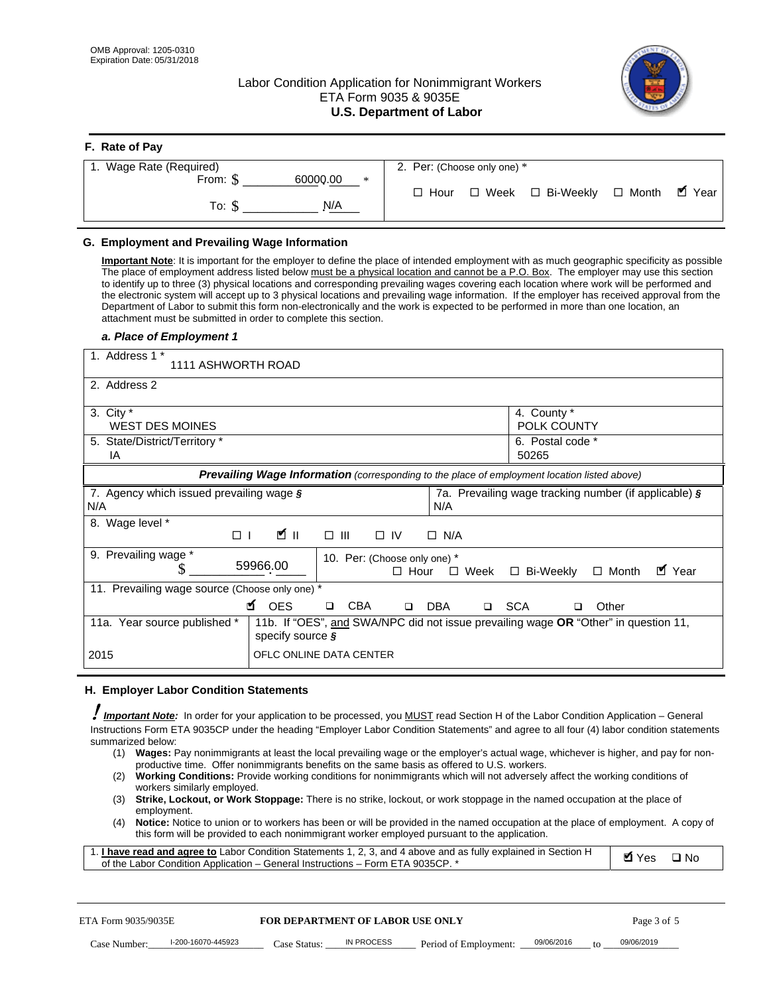**F. Rate of Pay** 

# Labor Condition Application for Nonimmigrant Workers ETA Form 9035 & 9035E **U.S. Department of Labor**



| <b>F.</b> Rate of Pay          |                                                               |
|--------------------------------|---------------------------------------------------------------|
| 1. Wage Rate (Required)        | 2. Per: (Choose only one) *                                   |
| 60000.00<br>From: \$<br>$\ast$ |                                                               |
| N/A<br>To: S                   | . ■ Year<br>□ Week □ Bi-Weekly<br>$\Box$ Month<br>$\Box$ Hour |

## **G. Employment and Prevailing Wage Information**

#### *a. Place of Employment 1*

|     | From: \$                                                                                                                                                                                                                                                                                                                                                                                                                                                                                                                                                                                                                                                                                                                                                                                                                                  | 60000.00<br>$\ast$<br>To: $\S$<br>N/A                                                                                                                                                                                                                                                                                                                                                                                                                                                                                                                                                                                                                                                                                                | $\Box$ Hour   |                       |       | $\Box$ Week $\Box$ Bi-Weekly                          | $\Box$ Month | $\blacksquare$ Year |
|-----|-------------------------------------------------------------------------------------------------------------------------------------------------------------------------------------------------------------------------------------------------------------------------------------------------------------------------------------------------------------------------------------------------------------------------------------------------------------------------------------------------------------------------------------------------------------------------------------------------------------------------------------------------------------------------------------------------------------------------------------------------------------------------------------------------------------------------------------------|--------------------------------------------------------------------------------------------------------------------------------------------------------------------------------------------------------------------------------------------------------------------------------------------------------------------------------------------------------------------------------------------------------------------------------------------------------------------------------------------------------------------------------------------------------------------------------------------------------------------------------------------------------------------------------------------------------------------------------------|---------------|-----------------------|-------|-------------------------------------------------------|--------------|---------------------|
|     | G. Employment and Prevailing Wage Information<br>Important Note: It is important for the employer to define the place of intended employment with as much geographic specificity as possible<br>The place of employment address listed below must be a physical location and cannot be a P.O. Box. The employer may use this section<br>to identify up to three (3) physical locations and corresponding prevailing wages covering each location where work will be performed and<br>the electronic system will accept up to 3 physical locations and prevailing wage information. If the employer has received approval from the<br>Department of Labor to submit this form non-electronically and the work is expected to be performed in more than one location, an<br>attachment must be submitted in order to complete this section. |                                                                                                                                                                                                                                                                                                                                                                                                                                                                                                                                                                                                                                                                                                                                      |               |                       |       |                                                       |              |                     |
|     | a. Place of Employment 1<br>1. Address 1 *                                                                                                                                                                                                                                                                                                                                                                                                                                                                                                                                                                                                                                                                                                                                                                                                |                                                                                                                                                                                                                                                                                                                                                                                                                                                                                                                                                                                                                                                                                                                                      |               |                       |       |                                                       |              |                     |
|     | 1111 ASHWORTH ROAD                                                                                                                                                                                                                                                                                                                                                                                                                                                                                                                                                                                                                                                                                                                                                                                                                        |                                                                                                                                                                                                                                                                                                                                                                                                                                                                                                                                                                                                                                                                                                                                      |               |                       |       |                                                       |              |                     |
|     | 2. Address 2                                                                                                                                                                                                                                                                                                                                                                                                                                                                                                                                                                                                                                                                                                                                                                                                                              |                                                                                                                                                                                                                                                                                                                                                                                                                                                                                                                                                                                                                                                                                                                                      |               |                       |       |                                                       |              |                     |
|     | 3. City $*$<br><b>WEST DES MOINES</b>                                                                                                                                                                                                                                                                                                                                                                                                                                                                                                                                                                                                                                                                                                                                                                                                     |                                                                                                                                                                                                                                                                                                                                                                                                                                                                                                                                                                                                                                                                                                                                      |               |                       |       | 4. County *<br>POLK COUNTY                            |              |                     |
|     | 5. State/District/Territory *<br>IA                                                                                                                                                                                                                                                                                                                                                                                                                                                                                                                                                                                                                                                                                                                                                                                                       |                                                                                                                                                                                                                                                                                                                                                                                                                                                                                                                                                                                                                                                                                                                                      |               |                       | 50265 | 6. Postal code *                                      |              |                     |
|     |                                                                                                                                                                                                                                                                                                                                                                                                                                                                                                                                                                                                                                                                                                                                                                                                                                           | Prevailing Wage Information (corresponding to the place of employment location listed above)                                                                                                                                                                                                                                                                                                                                                                                                                                                                                                                                                                                                                                         |               |                       |       |                                                       |              |                     |
| N/A | 7. Agency which issued prevailing wage §                                                                                                                                                                                                                                                                                                                                                                                                                                                                                                                                                                                                                                                                                                                                                                                                  |                                                                                                                                                                                                                                                                                                                                                                                                                                                                                                                                                                                                                                                                                                                                      |               | N/A                   |       | 7a. Prevailing wage tracking number (if applicable) § |              |                     |
|     | 8. Wage level *<br>$\Box$                                                                                                                                                                                                                                                                                                                                                                                                                                                                                                                                                                                                                                                                                                                                                                                                                 | <b>M</b><br>$\Box$<br>III                                                                                                                                                                                                                                                                                                                                                                                                                                                                                                                                                                                                                                                                                                            | $\Box$ IV     | $\Box$ N/A            |       |                                                       |              |                     |
|     | 9. Prevailing wage *<br>S                                                                                                                                                                                                                                                                                                                                                                                                                                                                                                                                                                                                                                                                                                                                                                                                                 | 10. Per: (Choose only one) *<br>59966.00                                                                                                                                                                                                                                                                                                                                                                                                                                                                                                                                                                                                                                                                                             | $\Box$ Hour   | $\Box$ Week           |       | □ Bi-Weekly                                           | $\Box$ Month | ■ Year              |
|     | 11. Prevailing wage source (Choose only one) *                                                                                                                                                                                                                                                                                                                                                                                                                                                                                                                                                                                                                                                                                                                                                                                            | <b>¤</b> OES<br><b>CBA</b><br>$\Box$                                                                                                                                                                                                                                                                                                                                                                                                                                                                                                                                                                                                                                                                                                 | DBA<br>$\Box$ |                       | □ SCA | o.                                                    | Other        |                     |
|     | 11a. Year source published *                                                                                                                                                                                                                                                                                                                                                                                                                                                                                                                                                                                                                                                                                                                                                                                                              | 11b. If "OES", and SWA/NPC did not issue prevailing wage OR "Other" in question 11,<br>specify source $\boldsymbol{\S}$                                                                                                                                                                                                                                                                                                                                                                                                                                                                                                                                                                                                              |               |                       |       |                                                       |              |                     |
|     | 2015                                                                                                                                                                                                                                                                                                                                                                                                                                                                                                                                                                                                                                                                                                                                                                                                                                      | OFLC ONLINE DATA CENTER                                                                                                                                                                                                                                                                                                                                                                                                                                                                                                                                                                                                                                                                                                              |               |                       |       |                                                       |              |                     |
|     | H. Employer Labor Condition Statements                                                                                                                                                                                                                                                                                                                                                                                                                                                                                                                                                                                                                                                                                                                                                                                                    |                                                                                                                                                                                                                                                                                                                                                                                                                                                                                                                                                                                                                                                                                                                                      |               |                       |       |                                                       |              |                     |
|     | Important Note: In order for your application to be processed, you MUST read Section H of the Labor Condition Application - General<br>Instructions Form ETA 9035CP under the heading "Employer Labor Condition Statements" and agree to all four (4) labor condition statements<br>summarized below:<br>(1)<br>(2)<br>workers similarly employed.<br>(3)<br>employment.<br>(4)<br>1. <i>I have read and agree to</i> Labor Condition Statements 1, 2, 3, and 4 above and as fully explained in Section H<br>of the Labor Condition Application - General Instructions - Form ETA 9035CP. *                                                                                                                                                                                                                                               | Wages: Pay nonimmigrants at least the local prevailing wage or the employer's actual wage, whichever is higher, and pay for non-<br>productive time. Offer nonimmigrants benefits on the same basis as offered to U.S. workers.<br><b>Working Conditions:</b> Provide working conditions for nonimmigrants which will not adversely affect the working conditions of<br>Strike, Lockout, or Work Stoppage: There is no strike, lockout, or work stoppage in the named occupation at the place of<br>Notice: Notice to union or to workers has been or will be provided in the named occupation at the place of employment. A copy of<br>this form will be provided to each nonimmigrant worker employed pursuant to the application. |               |                       |       |                                                       | <b>Ø</b> Yes | $\square$ No        |
|     | ETA Form 9035/9035E                                                                                                                                                                                                                                                                                                                                                                                                                                                                                                                                                                                                                                                                                                                                                                                                                       | <b>FOR DEPARTMENT OF LABOR USE ONLY</b>                                                                                                                                                                                                                                                                                                                                                                                                                                                                                                                                                                                                                                                                                              |               |                       |       |                                                       | Page 3 of 5  |                     |
|     | I-200-16070-445923<br>Case Number:                                                                                                                                                                                                                                                                                                                                                                                                                                                                                                                                                                                                                                                                                                                                                                                                        | IN PROCESS<br>Case Status: .                                                                                                                                                                                                                                                                                                                                                                                                                                                                                                                                                                                                                                                                                                         |               | Period of Employment: |       | 09/06/2016                                            | 09/06/2019   |                     |

#### **H. Employer Labor Condition Statements**

- (1) **Wages:** Pay nonimmigrants at least the local prevailing wage or the employer's actual wage, whichever is higher, and pay for nonproductive time. Offer nonimmigrants benefits on the same basis as offered to U.S. workers.
- (2) **Working Conditions:** Provide working conditions for nonimmigrants which will not adversely affect the working conditions of workers similarly employed.
- (3) **Strike, Lockout, or Work Stoppage:** There is no strike, lockout, or work stoppage in the named occupation at the place of employment.
- (4) **Notice:** Notice to union or to workers has been or will be provided in the named occupation at the place of employment. A copy of this form will be provided to each nonimmigrant worker employed pursuant to the application.

| 1. I have read and agree to Labor Condition Statements 1, 2, 3, and 4 above and as fully explained in Section H | $\blacksquare$ Yes $\square$ No |  |
|-----------------------------------------------------------------------------------------------------------------|---------------------------------|--|
| of the Labor Condition Application – General Instructions – Form ETA 9035CP. *                                  |                                 |  |

| ETA Form 9035/9035E |                    | <b>FOR DEPARTMENT OF LABOR USE ONLY</b> |            |                       |            |        | Page 3 of 5 |
|---------------------|--------------------|-----------------------------------------|------------|-----------------------|------------|--------|-------------|
| Case Number:        | I-200-16070-445923 | Case Status:                            | IN PROCESS | Period of Employment: | 09/06/2016 | $10 -$ | 09/06/2019  |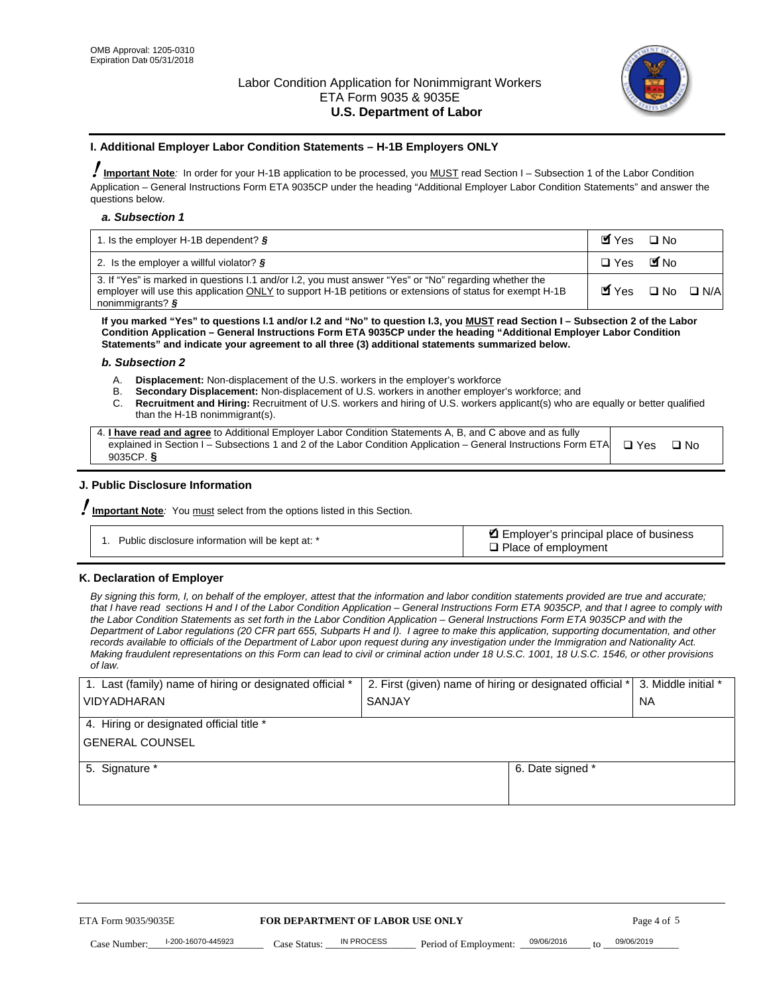

#### **I. Additional Employer Labor Condition Statements – H-1B Employers ONLY**

!**Important Note***:* In order for your H-1B application to be processed, you MUST read Section I – Subsection 1 of the Labor Condition Application – General Instructions Form ETA 9035CP under the heading "Additional Employer Labor Condition Statements" and answer the questions below.

#### *a. Subsection 1*

| 1. Is the employer H-1B dependent? $\S$                                                                                                                                                                                                 | Myes                                          | $\Box$ No              |  |
|-----------------------------------------------------------------------------------------------------------------------------------------------------------------------------------------------------------------------------------------|-----------------------------------------------|------------------------|--|
| 2. Is the employer a willful violator? $\frac{1}{2}$                                                                                                                                                                                    | $\Box$ Yes                                    | <b>M</b> <sub>No</sub> |  |
| 3. If "Yes" is marked in questions 1.1 and/or 1.2, you must answer "Yes" or "No" regarding whether the<br>employer will use this application ONLY to support H-1B petitions or extensions of status for exempt H-1B<br>nonimmigrants? § | $\blacksquare$ Yes $\square$ No $\square$ N/A |                        |  |

**If you marked "Yes" to questions I.1 and/or I.2 and "No" to question I.3, you MUST read Section I – Subsection 2 of the Labor Condition Application – General Instructions Form ETA 9035CP under the heading "Additional Employer Labor Condition Statements" and indicate your agreement to all three (3) additional statements summarized below.** 

#### *b. Subsection 2*

- A. **Displacement:** Non-displacement of the U.S. workers in the employer's workforce
- B. **Secondary Displacement:** Non-displacement of U.S. workers in another employer's workforce; and
- C. **Recruitment and Hiring:** Recruitment of U.S. workers and hiring of U.S. workers applicant(s) who are equally or better qualified than the H-1B nonimmigrant(s).

| 4. I have read and agree to Additional Employer Labor Condition Statements A, B, and C above and as fully                  |      |
|----------------------------------------------------------------------------------------------------------------------------|------|
| explained in Section I – Subsections 1 and 2 of the Labor Condition Application – General Instructions Form ETA $\Box$ Yes | ∩ Nח |
| 9035CP. $\delta$                                                                                                           |      |

# **J. Public Disclosure Information**

!**Important Note***:* You must select from the options listed in this Section.

| Public disclosure information will be kept at: * | Employer's principal place of business<br>$\Box$ Place of employment |
|--------------------------------------------------|----------------------------------------------------------------------|
|--------------------------------------------------|----------------------------------------------------------------------|

#### **K. Declaration of Employer**

*By signing this form, I, on behalf of the employer, attest that the information and labor condition statements provided are true and accurate;*  that I have read sections H and I of the Labor Condition Application – General Instructions Form ETA 9035CP, and that I agree to comply with *the Labor Condition Statements as set forth in the Labor Condition Application – General Instructions Form ETA 9035CP and with the Department of Labor regulations (20 CFR part 655, Subparts H and I). I agree to make this application, supporting documentation, and other records available to officials of the Department of Labor upon request during any investigation under the Immigration and Nationality Act. Making fraudulent representations on this Form can lead to civil or criminal action under 18 U.S.C. 1001, 18 U.S.C. 1546, or other provisions of law.* 

| 1. Last (family) name of hiring or designated official * | 2. First (given) name of hiring or designated official * |                                 | 3. Middle initial * |
|----------------------------------------------------------|----------------------------------------------------------|---------------------------------|---------------------|
| <b>VIDYADHARAN</b>                                       | <b>SANJAY</b>                                            |                                 | <b>NA</b>           |
| 4. Hiring or designated official title *                 |                                                          |                                 |                     |
| <b>GENERAL COUNSEL</b>                                   |                                                          |                                 |                     |
| 5. Signature *                                           |                                                          | 6. Date signed *                |                     |
|                                                          |                                                          |                                 |                     |
|                                                          |                                                          |                                 |                     |
|                                                          |                                                          |                                 |                     |
|                                                          |                                                          |                                 |                     |
|                                                          |                                                          |                                 |                     |
| ETA Form 9035/9035E                                      | FOR DEPARTMENT OF LABOR USE ONLY                         |                                 | Page 4 of 5         |
| I-200-16070-445923<br>Case Number<br>Case Status:        | IN PROCESS<br>Period of Employment:                      | 09/06/2016<br>$\mathsf{t} \cap$ | 09/06/2019          |